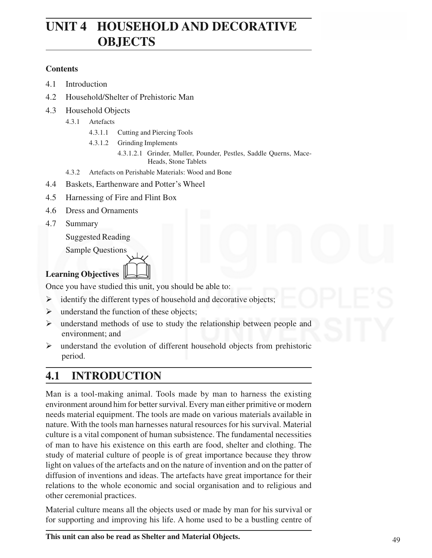# **UNIT 4 HOUSEHOLD AND DECORATIVE OBJECTS**

### **Contents**

- 4.1 Introduction
- 4.2 Household/Shelter of Prehistoric Man
- 4.3 Household Objects
	- 4.3.1 Artefacts
		- 4.3.1.1 Cutting and Piercing Tools
		- 4.3.1.2 Grinding Implements
			- 4.3.1.2.1 Grinder, Muller, Pounder, Pestles, Saddle Querns, Mace-Heads, Stone Tablets
	- 4.3.2 Artefacts on Perishable Materials: Wood and Bone
- 4.4 Baskets, Earthenware and Potter's Wheel
- 4.5 Harnessing of Fire and Flint Box
- 4.6 Dress and Ornaments
- 4.7 Summary

Suggested Reading

Sample Questions

# **Learning Objectives** &

Once you have studied this unit, you should be able to:

- $\triangleright$  identify the different types of household and decorative objects;
- $\triangleright$  understand the function of these objects;
- $\triangleright$  understand methods of use to study the relationship between people and environment; and
- $\triangleright$  understand the evolution of different household objects from prehistoric period.

# **4.1 INTRODUCTION**

Man is a tool-making animal. Tools made by man to harness the existing environment around him for better survival. Every man either primitive or modern needs material equipment. The tools are made on various materials available in nature. With the tools man harnesses natural resources for his survival. Material culture is a vital component of human subsistence. The fundamental necessities of man to have his existence on this earth are food, shelter and clothing. The study of material culture of people is of great importance because they throw light on values of the artefacts and on the nature of invention and on the patter of diffusion of inventions and ideas. The artefacts have great importance for their relations to the whole economic and social organisation and to religious and other ceremonial practices.

Material culture means all the objects used or made by man for his survival or for supporting and improving his life. A home used to be a bustling centre of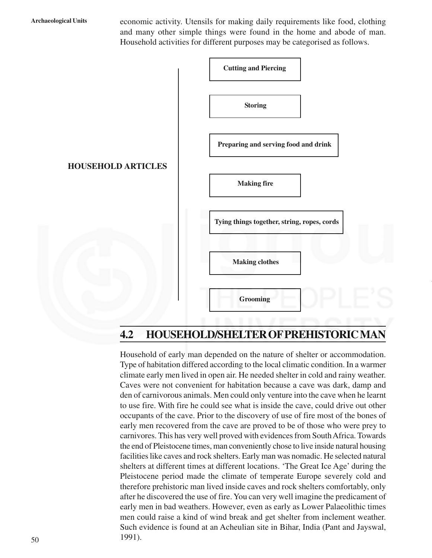**Archaeological Units** economic activity. Utensils for making daily requirements like food, clothing and many other simple things were found in the home and abode of man. Household activities for different purposes may be categorised as follows.



# **4.2 HOUSEHOLD/SHELTER OF PREHISTORIC MAN**

Household of early man depended on the nature of shelter or accommodation. Type of habitation differed according to the local climatic condition. In a warmer climate early men lived in open air. He needed shelter in cold and rainy weather. Caves were not convenient for habitation because a cave was dark, damp and den of carnivorous animals. Men could only venture into the cave when he learnt to use fire. With fire he could see what is inside the cave, could drive out other occupants of the cave. Prior to the discovery of use of fire most of the bones of early men recovered from the cave are proved to be of those who were prey to carnivores. This has very well proved with evidences from South Africa. Towards the end of Pleistocene times, man conveniently chose to live inside natural housing facilities like caves and rock shelters. Early man was nomadic. He selected natural shelters at different times at different locations. 'The Great Ice Age' during the Pleistocene period made the climate of temperate Europe severely cold and therefore prehistoric man lived inside caves and rock shelters comfortably, only after he discovered the use of fire. You can very well imagine the predicament of early men in bad weathers. However, even as early as Lower Palaeolithic times men could raise a kind of wind break and get shelter from inclement weather. Such evidence is found at an Acheulian site in Bihar, India (Pant and Jayswal, 1991).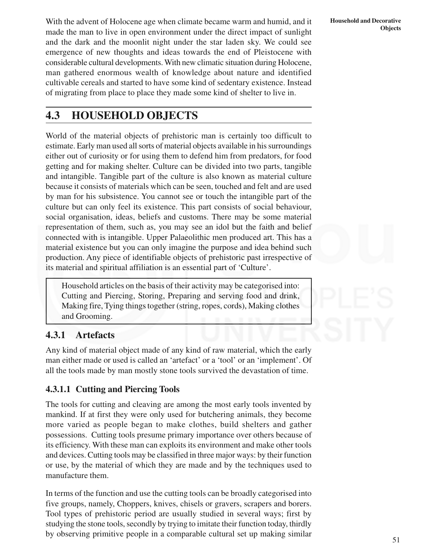With the advent of Holocene age when climate became warm and humid, and it made the man to live in open environment under the direct impact of sunlight and the dark and the moonlit night under the star laden sky. We could see emergence of new thoughts and ideas towards the end of Pleistocene with considerable cultural developments. With new climatic situation during Holocene, man gathered enormous wealth of knowledge about nature and identified cultivable cereals and started to have some kind of sedentary existence. Instead of migrating from place to place they made some kind of shelter to live in.

# **4.3 HOUSEHOLD OBJECTS**

World of the material objects of prehistoric man is certainly too difficult to estimate. Early man used all sorts of material objects available in his surroundings either out of curiosity or for using them to defend him from predators, for food getting and for making shelter. Culture can be divided into two parts, tangible and intangible. Tangible part of the culture is also known as material culture because it consists of materials which can be seen, touched and felt and are used by man for his subsistence. You cannot see or touch the intangible part of the culture but can only feel its existence. This part consists of social behaviour, social organisation, ideas, beliefs and customs. There may be some material representation of them, such as, you may see an idol but the faith and belief connected with is intangible. Upper Palaeolithic men produced art. This has a material existence but you can only imagine the purpose and idea behind such production. Any piece of identifiable objects of prehistoric past irrespective of its material and spiritual affiliation is an essential part of 'Culture'.

Household articles on the basis of their activity may be categorised into: Cutting and Piercing, Storing, Preparing and serving food and drink, Making fire, Tying things together (string, ropes, cords), Making clothes and Grooming.

# **4.3.1 Artefacts**

Any kind of material object made of any kind of raw material, which the early man either made or used is called an 'artefact' or a 'tool' or an 'implement'. Of all the tools made by man mostly stone tools survived the devastation of time.

## **4.3.1.1 Cutting and Piercing Tools**

The tools for cutting and cleaving are among the most early tools invented by mankind. If at first they were only used for butchering animals, they become more varied as people began to make clothes, build shelters and gather possessions. Cutting tools presume primary importance over others because of its efficiency. With these man can exploits its environment and make other tools and devices. Cutting tools may be classified in three major ways: by their function or use, by the material of which they are made and by the techniques used to manufacture them.

In terms of the function and use the cutting tools can be broadly categorised into five groups, namely, Choppers, knives, chisels or gravers, scrapers and borers. Tool types of prehistoric period are usually studied in several ways; first by studying the stone tools, secondly by trying to imitate their function today, thirdly by observing primitive people in a comparable cultural set up making similar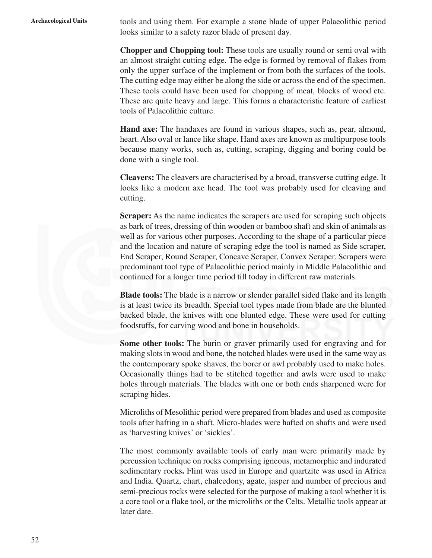**Archaeological Units** tools and using them. For example a stone blade of upper Palaeolithic period looks similar to a safety razor blade of present day.

> **Chopper and Chopping tool:** These tools are usually round or semi oval with an almost straight cutting edge. The edge is formed by removal of flakes from only the upper surface of the implement or from both the surfaces of the tools. The cutting edge may either be along the side or across the end of the specimen. These tools could have been used for chopping of meat, blocks of wood etc. These are quite heavy and large. This forms a characteristic feature of earliest tools of Palaeolithic culture.

> **Hand axe:** The handaxes are found in various shapes, such as, pear, almond, heart. Also oval or lance like shape. Hand axes are known as multipurpose tools because many works, such as, cutting, scraping, digging and boring could be done with a single tool.

> **Cleavers:** The cleavers are characterised by a broad, transverse cutting edge. It looks like a modern axe head. The tool was probably used for cleaving and cutting.

> **Scraper:** As the name indicates the scrapers are used for scraping such objects as bark of trees, dressing of thin wooden or bamboo shaft and skin of animals as well as for various other purposes. According to the shape of a particular piece and the location and nature of scraping edge the tool is named as Side scraper, End Scraper, Round Scraper, Concave Scraper, Convex Scraper. Scrapers were predominant tool type of Palaeolithic period mainly in Middle Palaeolithic and continued for a longer time period till today in different raw materials.

> **Blade tools:** The blade is a narrow or slender parallel sided flake and its length is at least twice its breadth. Special tool types made from blade are the blunted backed blade, the knives with one blunted edge. These were used for cutting foodstuffs, for carving wood and bone in households.

> **Some other tools:** The burin or graver primarily used for engraving and for making slots in wood and bone, the notched blades were used in the same way as the contemporary spoke shaves, the borer or awl probably used to make holes. Occasionally things had to be stitched together and awls were used to make holes through materials. The blades with one or both ends sharpened were for scraping hides.

> Microliths of Mesolithic period were prepared from blades and used as composite tools after hafting in a shaft. Micro-blades were hafted on shafts and were used as 'harvesting knives' or 'sickles'.

> The most commonly available tools of early man were primarily made by percussion technique on rocks comprising igneous, metamorphic and indurated sedimentary rocks**.** Flint was used in Europe and quartzite was used in Africa and India. Quartz, chart, chalcedony, agate, jasper and number of precious and semi-precious rocks were selected for the purpose of making a tool whether it is a core tool or a flake tool, or the microliths or the Celts. Metallic tools appear at later date.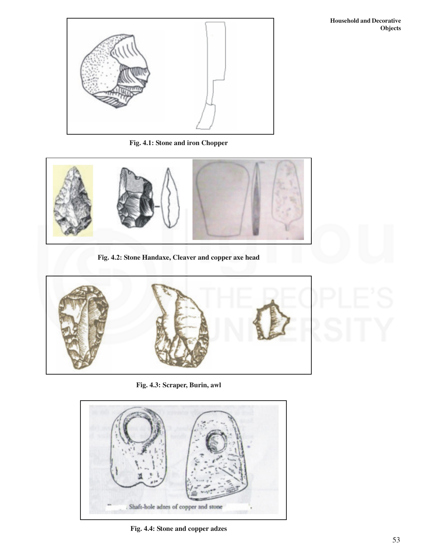

**Fig. 4.1: Stone and iron Chopper**



**Fig. 4.2: Stone Handaxe, Cleaver and copper axe head**



**Fig. 4.3: Scraper, Burin, awl**



**Fig. 4.4: Stone and copper adzes**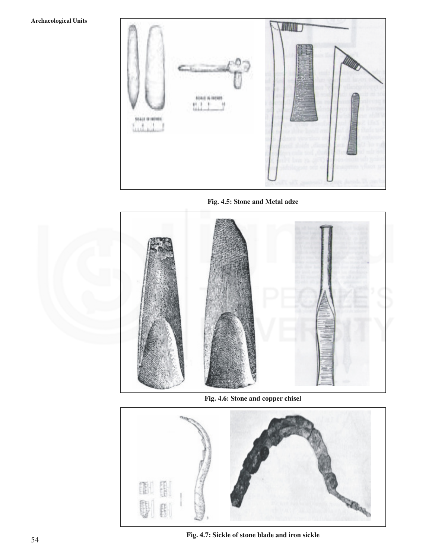### **Archaeological Units**



**Fig. 4.5: Stone and Metal adze**



**Fig. 4.6: Stone and copper chisel**



**Fig. 4.7: Sickle of stone blade and iron sickle**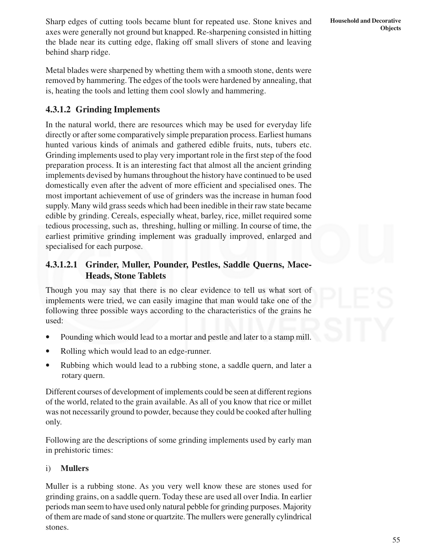Sharp edges of cutting tools became blunt for repeated use. Stone knives and axes were generally not ground but knapped. Re-sharpening consisted in hitting the blade near its cutting edge, flaking off small slivers of stone and leaving behind sharp ridge.

Metal blades were sharpened by whetting them with a smooth stone, dents were removed by hammering. The edges of the tools were hardened by annealing, that is, heating the tools and letting them cool slowly and hammering.

# **4.3.1.2 Grinding Implements**

In the natural world, there are resources which may be used for everyday life directly or after some comparatively simple preparation process. Earliest humans hunted various kinds of animals and gathered edible fruits, nuts, tubers etc. Grinding implements used to play very important role in the first step of the food preparation process. It is an interesting fact that almost all the ancient grinding implements devised by humans throughout the history have continued to be used domestically even after the advent of more efficient and specialised ones. The most important achievement of use of grinders was the increase in human food supply. Many wild grass seeds which had been inedible in their raw state became edible by grinding. Cereals, especially wheat, barley, rice, millet required some tedious processing, such as, threshing, hulling or milling. In course of time, the earliest primitive grinding implement was gradually improved, enlarged and specialised for each purpose.

## **4.3.1.2.1 Grinder, Muller, Pounder, Pestles, Saddle Querns, Mace-Heads, Stone Tablets**

Though you may say that there is no clear evidence to tell us what sort of implements were tried, we can easily imagine that man would take one of the following three possible ways according to the characteristics of the grains he used:

- Pounding which would lead to a mortar and pestle and later to a stamp mill.
- Rolling which would lead to an edge-runner.
- Rubbing which would lead to a rubbing stone, a saddle quern, and later a rotary quern.

Different courses of development of implements could be seen at different regions of the world, related to the grain available. As all of you know that rice or millet was not necessarily ground to powder, because they could be cooked after hulling only.

Following are the descriptions of some grinding implements used by early man in prehistoric times:

### i) **Mullers**

Muller is a rubbing stone. As you very well know these are stones used for grinding grains, on a saddle quern. Today these are used all over India. In earlier periods man seem to have used only natural pebble for grinding purposes. Majority of them are made of sand stone or quartzite. The mullers were generally cylindrical stones.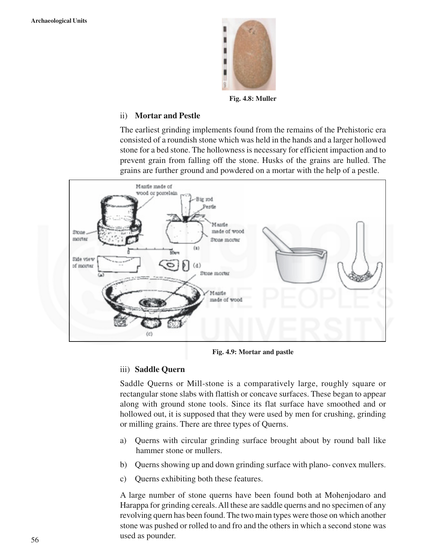

**Fig. 4.8: Muller**

### ii) **Mortar and Pestle**

The earliest grinding implements found from the remains of the Prehistoric era consisted of a roundish stone which was held in the hands and a larger hollowed stone for a bed stone. The hollowness is necessary for efficient impaction and to prevent grain from falling off the stone. Husks of the grains are hulled. The grains are further ground and powdered on a mortar with the help of a pestle.



**Fig. 4.9: Mortar and pastle**

### iii) **Saddle Quern**

Saddle Querns or Mill-stone is a comparatively large, roughly square or rectangular stone slabs with flattish or concave surfaces. These began to appear along with ground stone tools. Since its flat surface have smoothed and or hollowed out, it is supposed that they were used by men for crushing, grinding or milling grains. There are three types of Querns.

- a) Querns with circular grinding surface brought about by round ball like hammer stone or mullers.
- b) Querns showing up and down grinding surface with plano- convex mullers.
- c) Querns exhibiting both these features.

A large number of stone querns have been found both at Mohenjodaro and Harappa for grinding cereals. All these are saddle querns and no specimen of any revolving quern has been found. The two main types were those on which another stone was pushed or rolled to and fro and the others in which a second stone was used as pounder.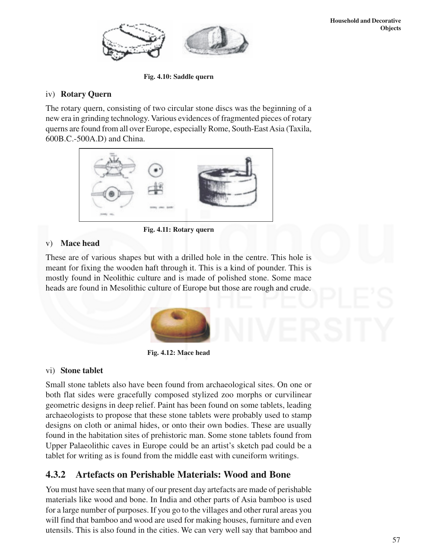

**Fig. 4.10: Saddle quern**

### iv) **Rotary Quern**

The rotary quern, consisting of two circular stone discs was the beginning of a new era in grinding technology. Various evidences of fragmented pieces of rotary querns are found from all over Europe, especially Rome, South-East Asia (Taxila, 600B.C.-500A.D) and China.



**Fig. 4.11: Rotary quern**

### v) **Mace head**

These are of various shapes but with a drilled hole in the centre. This hole is meant for fixing the wooden haft through it. This is a kind of pounder. This is mostly found in Neolithic culture and is made of polished stone. Some mace heads are found in Mesolithic culture of Europe but those are rough and crude.



**Fig. 4.12: Mace head**

### vi) **Stone tablet**

Small stone tablets also have been found from archaeological sites. On one or both flat sides were gracefully composed stylized zoo morphs or curvilinear geometric designs in deep relief. Paint has been found on some tablets, leading archaeologists to propose that these stone tablets were probably used to stamp designs on cloth or animal hides, or onto their own bodies. These are usually found in the habitation sites of prehistoric man. Some stone tablets found from Upper Palaeolithic caves in Europe could be an artist's sketch pad could be a tablet for writing as is found from the middle east with cuneiform writings.

# **4.3.2 Artefacts on Perishable Materials: Wood and Bone**

You must have seen that many of our present day artefacts are made of perishable materials like wood and bone. In India and other parts of Asia bamboo is used for a large number of purposes. If you go to the villages and other rural areas you will find that bamboo and wood are used for making houses, furniture and even utensils. This is also found in the cities. We can very well say that bamboo and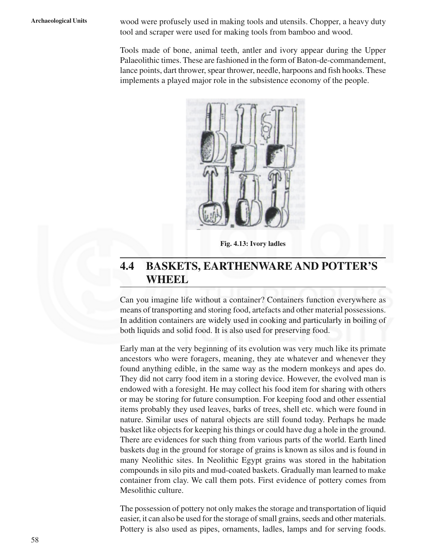**Archaeological Units** wood were profusely used in making tools and utensils. Chopper, a heavy duty tool and scraper were used for making tools from bamboo and wood.

> Tools made of bone, animal teeth, antler and ivory appear during the Upper Palaeolithic times. These are fashioned in the form of Baton-de-commandement, lance points, dart thrower, spear thrower, needle, harpoons and fish hooks. These implements a played major role in the subsistence economy of the people.



**Fig. 4.13: Ivory ladles**

# **4.4 BASKETS, EARTHENWARE AND POTTER'S WHEEL**

Can you imagine life without a container? Containers function everywhere as means of transporting and storing food, artefacts and other material possessions. In addition containers are widely used in cooking and particularly in boiling of both liquids and solid food. It is also used for preserving food.

Early man at the very beginning of its evolution was very much like its primate ancestors who were foragers, meaning, they ate whatever and whenever they found anything edible, in the same way as the modern monkeys and apes do. They did not carry food item in a storing device. However, the evolved man is endowed with a foresight. He may collect his food item for sharing with others or may be storing for future consumption. For keeping food and other essential items probably they used leaves, barks of trees, shell etc. which were found in nature. Similar uses of natural objects are still found today. Perhaps he made basket like objects for keeping his things or could have dug a hole in the ground. There are evidences for such thing from various parts of the world. Earth lined baskets dug in the ground for storage of grains is known as silos and is found in many Neolithic sites. In Neolithic Egypt grains was stored in the habitation compounds in silo pits and mud-coated baskets. Gradually man learned to make container from clay. We call them pots. First evidence of pottery comes from Mesolithic culture.

The possession of pottery not only makes the storage and transportation of liquid easier, it can also be used for the storage of small grains, seeds and other materials. Pottery is also used as pipes, ornaments, ladles, lamps and for serving foods.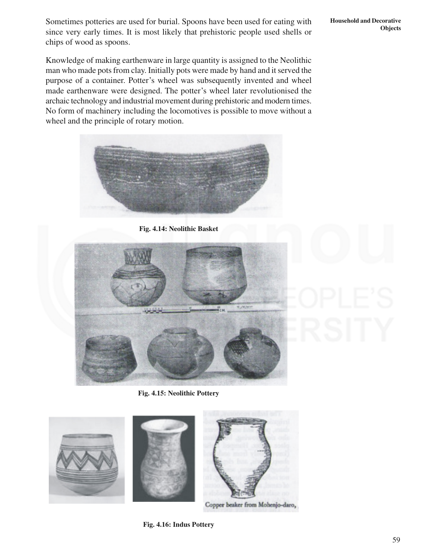Sometimes potteries are used for burial. Spoons have been used for eating with since very early times. It is most likely that prehistoric people used shells or chips of wood as spoons.

Knowledge of making earthenware in large quantity is assigned to the Neolithic man who made pots from clay. Initially pots were made by hand and it served the purpose of a container. Potter's wheel was subsequently invented and wheel made earthenware were designed. The potter's wheel later revolutionised the archaic technology and industrial movement during prehistoric and modern times. No form of machinery including the locomotives is possible to move without a wheel and the principle of rotary motion.



**Fig. 4.14: Neolithic Basket**



**Fig. 4.15: Neolithic Pottery**



Copper beaker from Mohenjo-daro,

**Objects**

**Household and Decorative**

**Fig. 4.16: Indus Pottery**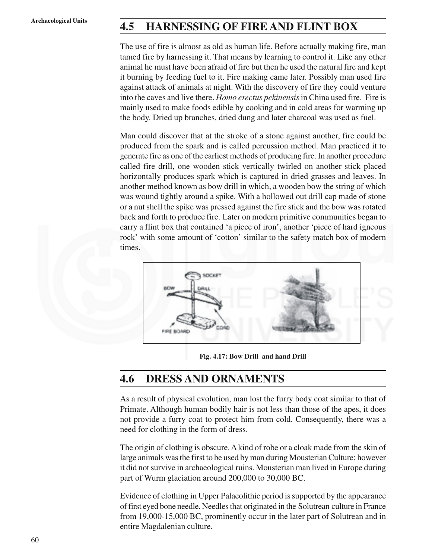# **Archaeological Units 4.5 HARNESSING OF FIRE AND FLINT BOX**

The use of fire is almost as old as human life. Before actually making fire, man tamed fire by harnessing it. That means by learning to control it. Like any other animal he must have been afraid of fire but then he used the natural fire and kept it burning by feeding fuel to it. Fire making came later. Possibly man used fire against attack of animals at night. With the discovery of fire they could venture into the caves and live there. *Homo erectus pekinensis* in China used fire. Fire is mainly used to make foods edible by cooking and in cold areas for warming up the body. Dried up branches, dried dung and later charcoal was used as fuel.

Man could discover that at the stroke of a stone against another, fire could be produced from the spark and is called percussion method. Man practiced it to generate fire as one of the earliest methods of producing fire. In another procedure called fire drill, one wooden stick vertically twirled on another stick placed horizontally produces spark which is captured in dried grasses and leaves. In another method known as bow drill in which, a wooden bow the string of which was wound tightly around a spike. With a hollowed out drill cap made of stone or a nut shell the spike was pressed against the fire stick and the bow was rotated back and forth to produce fire. Later on modern primitive communities began to carry a flint box that contained 'a piece of iron', another 'piece of hard igneous rock' with some amount of 'cotton' similar to the safety match box of modern times.



**Fig. 4.17: Bow Drill and hand Drill**

# **4.6 DRESS AND ORNAMENTS**

As a result of physical evolution, man lost the furry body coat similar to that of Primate. Although human bodily hair is not less than those of the apes, it does not provide a furry coat to protect him from cold. Consequently, there was a need for clothing in the form of dress.

The origin of clothing is obscure. A kind of robe or a cloak made from the skin of large animals was the first to be used by man during Mousterian Culture; however it did not survive in archaeological ruins. Mousterian man lived in Europe during part of Wurm glaciation around 200,000 to 30,000 BC.

Evidence of clothing in Upper Palaeolithic period is supported by the appearance of first eyed bone needle. Needles that originated in the Solutrean culture in France from 19,000-15,000 BC, prominently occur in the later part of Solutrean and in entire Magdalenian culture.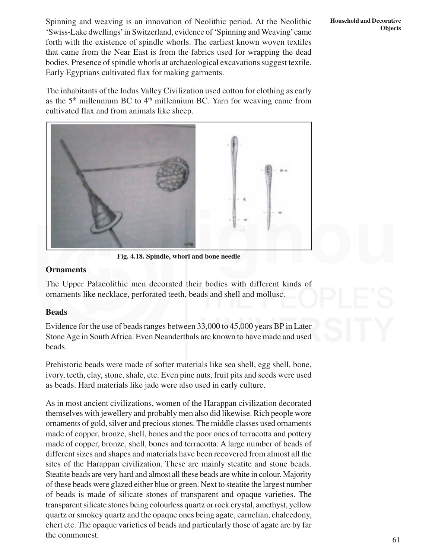Spinning and weaving is an innovation of Neolithic period. At the Neolithic 'Swiss-Lake dwellings' in Switzerland, evidence of 'Spinning and Weaving' came forth with the existence of spindle whorls. The earliest known woven textiles that came from the Near East is from the fabrics used for wrapping the dead bodies. Presence of spindle whorls at archaeological excavations suggest textile. Early Egyptians cultivated flax for making garments.

The inhabitants of the Indus Valley Civilization used cotton for clothing as early as the  $5<sup>th</sup>$  millennium BC to  $4<sup>th</sup>$  millennium BC. Yarn for weaving came from cultivated flax and from animals like sheep.



**Fig. 4.18. Spindle, whorl and bone needle**

### **Ornaments**

The Upper Palaeolithic men decorated their bodies with different kinds of ornaments like necklace, perforated teeth, beads and shell and mollusc.

### **Beads**

Evidence for the use of beads ranges between 33,000 to 45,000 years BP in Later Stone Age in South Africa. Even Neanderthals are known to have made and used beads.

Prehistoric beads were made of softer materials like sea shell, egg shell, bone, ivory, teeth, clay, stone, shale, etc. Even pine nuts, fruit pits and seeds were used as beads. Hard materials like jade were also used in early culture.

As in most ancient civilizations, women of the Harappan civilization decorated themselves with jewellery and probably men also did likewise. Rich people wore ornaments of gold, silver and precious stones. The middle classes used ornaments made of copper, bronze, shell, bones and the poor ones of terracotta and pottery made of copper, bronze, shell, bones and terracotta. A large number of beads of different sizes and shapes and materials have been recovered from almost all the sites of the Harappan civilization. These are mainly steatite and stone beads. Steatite beads are very hard and almost all these beads are white in colour. Majority of these beads were glazed either blue or green. Next to steatite the largest number of beads is made of silicate stones of transparent and opaque varieties. The transparent silicate stones being colourless quartz or rock crystal, amethyst, yellow quartz or smokey quartz and the opaque ones being agate, carnelian, chalcedony, chert etc. The opaque varieties of beads and particularly those of agate are by far the commonest.

### **Household and Decorative Objects**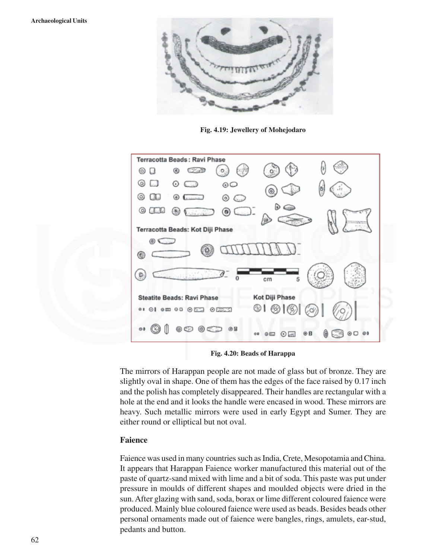

**Fig. 4.19: Jewellery of Mohejodaro**

| Terracotta Beads: Ravi Phase                              |                                                         |
|-----------------------------------------------------------|---------------------------------------------------------|
| C. 2009<br>⊛<br>$^{\circ}$<br>۰<br>$\cup$                 |                                                         |
| 0<br>⊙<br>C  )<br>00                                      | $\tilde{m}$<br>ð                                        |
| $\circ$<br>◉<br><b>Bancon</b><br>⊚<br>lini                | Θ                                                       |
| ⊚<br>٩<br>alesto<br>Visicilia<br>$\circledcirc$<br>ـ لينس |                                                         |
| Terracotta Beads: Kot Diji Phase                          |                                                         |
| 田<br>⊛                                                    |                                                         |
| 5<br>cm                                                   |                                                         |
| <b>Steatite Beads: Ravi Phase</b>                         | Kot Diji Phase                                          |
| <b>OI OI OI OER OEER</b>                                  | $\circledcirc$ l $\circledcirc$<br>$\scriptstyle\alpha$ |
| ◎<br>@B<br>$\circ$<br>Œ<br>C-C<br>ඟ                       | $\circ$<br>⊛B<br>⊚⊡<br>GEJ<br>00<br>$\odot$ at          |

**Fig. 4.20: Beads of Harappa**

The mirrors of Harappan people are not made of glass but of bronze. They are slightly oval in shape. One of them has the edges of the face raised by 0.17 inch and the polish has completely disappeared. Their handles are rectangular with a hole at the end and it looks the handle were encased in wood. These mirrors are heavy. Such metallic mirrors were used in early Egypt and Sumer. They are either round or elliptical but not oval.

### **Faience**

Faience was used in many countries such as India, Crete, Mesopotamia and China. It appears that Harappan Faience worker manufactured this material out of the paste of quartz-sand mixed with lime and a bit of soda. This paste was put under pressure in moulds of different shapes and moulded objects were dried in the sun. After glazing with sand, soda, borax or lime different coloured faience were produced. Mainly blue coloured faience were used as beads. Besides beads other personal ornaments made out of faience were bangles, rings, amulets, ear-stud, pedants and button.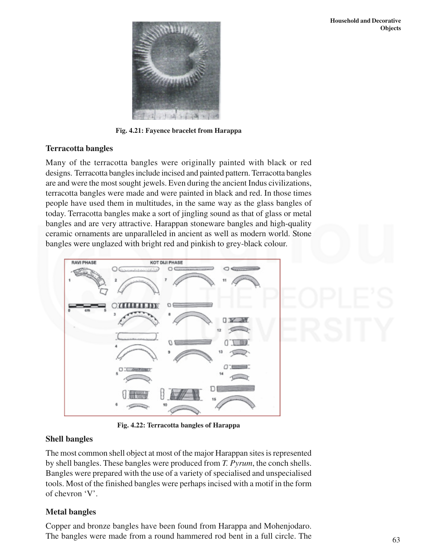

**Fig. 4.21: Fayence bracelet from Harappa**

### **Terracotta bangles**

Many of the terracotta bangles were originally painted with black or red designs. Terracotta bangles include incised and painted pattern. Terracotta bangles are and were the most sought jewels. Even during the ancient Indus civilizations, terracotta bangles were made and were painted in black and red. In those times people have used them in multitudes, in the same way as the glass bangles of today. Terracotta bangles make a sort of jingling sound as that of glass or metal bangles and are very attractive. Harappan stoneware bangles and high-quality ceramic ornaments are unparalleled in ancient as well as modern world. Stone bangles were unglazed with bright red and pinkish to grey-black colour.



**Fig. 4.22: Terracotta bangles of Harappa**

## **Shell bangles**

The most common shell object at most of the major Harappan sites is represented by shell bangles. These bangles were produced from *T. Pyrum*, the conch shells. Bangles were prepared with the use of a variety of specialised and unspecialised tools. Most of the finished bangles were perhaps incised with a motif in the form of chevron 'V'.

# **Metal bangles**

Copper and bronze bangles have been found from Harappa and Mohenjodaro. The bangles were made from a round hammered rod bent in a full circle. The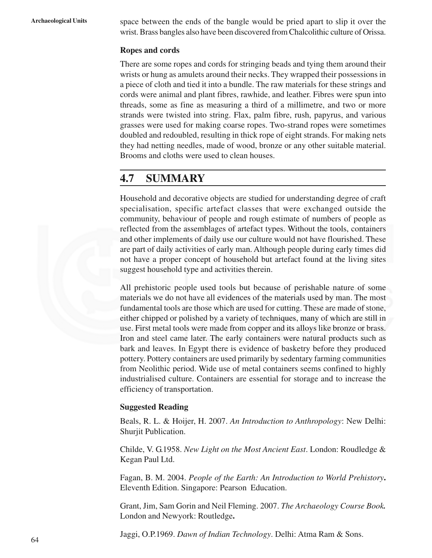**Archaeological Units** space between the ends of the bangle would be pried apart to slip it over the wrist. Brass bangles also have been discovered from Chalcolithic culture of Orissa.

### **Ropes and cords**

There are some ropes and cords for stringing beads and tying them around their wrists or hung as amulets around their necks. They wrapped their possessions in a piece of cloth and tied it into a bundle. The raw materials for these strings and cords were animal and plant fibres, rawhide, and leather. Fibres were spun into threads, some as fine as measuring a third of a millimetre, and two or more strands were twisted into string. Flax, palm fibre, rush, papyrus, and various grasses were used for making coarse ropes. Two-strand ropes were sometimes doubled and redoubled, resulting in thick rope of eight strands. For making nets they had netting needles, made of wood, bronze or any other suitable material. Brooms and cloths were used to clean houses.

# **4.7 SUMMARY**

Household and decorative objects are studied for understanding degree of craft specialisation, specific artefact classes that were exchanged outside the community, behaviour of people and rough estimate of numbers of people as reflected from the assemblages of artefact types. Without the tools, containers and other implements of daily use our culture would not have flourished. These are part of daily activities of early man. Although people during early times did not have a proper concept of household but artefact found at the living sites suggest household type and activities therein.

All prehistoric people used tools but because of perishable nature of some materials we do not have all evidences of the materials used by man. The most fundamental tools are those which are used for cutting. These are made of stone, either chipped or polished by a variety of techniques, many of which are still in use. First metal tools were made from copper and its alloys like bronze or brass. Iron and steel came later. The early containers were natural products such as bark and leaves. In Egypt there is evidence of basketry before they produced pottery. Pottery containers are used primarily by sedentary farming communities from Neolithic period. Wide use of metal containers seems confined to highly industrialised culture. Containers are essential for storage and to increase the efficiency of transportation.

### **Suggested Reading**

Beals, R. L. & Hoijer, H. 2007. *An Introduction to Anthropology*: New Delhi: Shurjit Publication.

Childe, V. G.1958. *New Light on the Most Ancient East*. London: Roudledge & Kegan Paul Ltd.

Fagan, B. M. 2004. *People of the Earth: An Introduction to World Prehistory***.** Eleventh Edition. Singapore: Pearson Education.

Grant, Jim, Sam Gorin and Neil Fleming. 2007. *The Archaeology Course Book.* London and Newyork: Routledge**.**

Jaggi, O.P.1969. *Dawn of Indian Technology*. Delhi: Atma Ram & Sons.